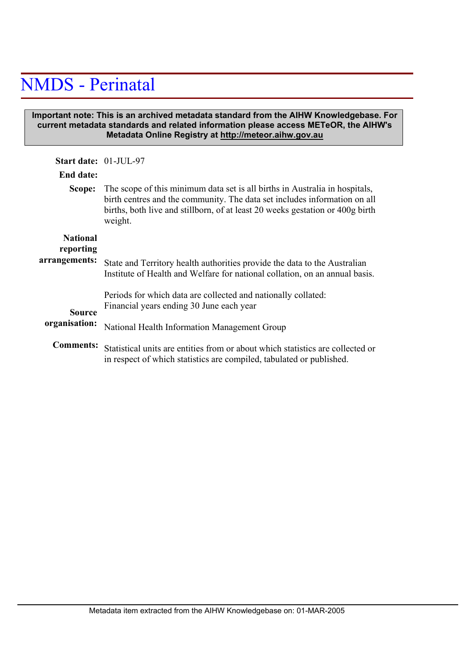## NMDS - Perinatal

## **Important note: This is an archived metadata standard from the AIHW Knowledgebase. For current metadata standards and related information please access METeOR, the AIHW's Metadata Online Registry at http://meteor.aihw.gov.au**

| <b>Start date: 01-JUL-97</b> |                                                                                                                                                                                                                                                      |
|------------------------------|------------------------------------------------------------------------------------------------------------------------------------------------------------------------------------------------------------------------------------------------------|
| End date:                    |                                                                                                                                                                                                                                                      |
| Scope:                       | The scope of this minimum data set is all births in Australia in hospitals,<br>birth centres and the community. The data set includes information on all<br>births, both live and stillborn, of at least 20 weeks gestation or 400g birth<br>weight. |
| <b>National</b><br>reporting |                                                                                                                                                                                                                                                      |
| arrangements:                | State and Territory health authorities provide the data to the Australian<br>Institute of Health and Welfare for national collation, on an annual basis.                                                                                             |
| <b>Source</b>                | Periods for which data are collected and nationally collated:<br>Financial years ending 30 June each year                                                                                                                                            |
| organisation:                | National Health Information Management Group                                                                                                                                                                                                         |
| <b>Comments:</b>             | Statistical units are entities from or about which statistics are collected or<br>in respect of which statistics are compiled, tabulated or published.                                                                                               |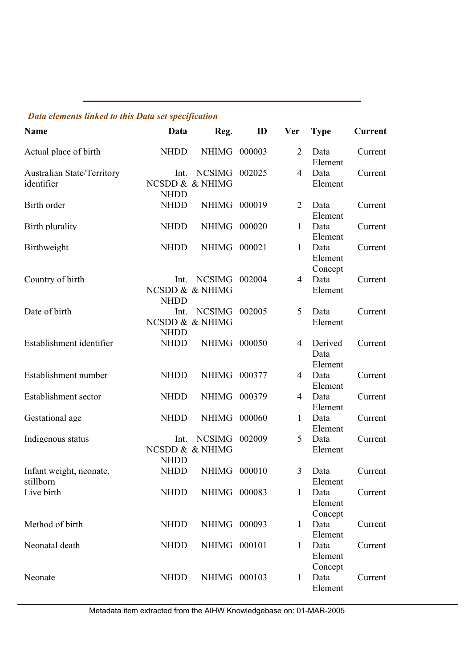## *Data elements linked to this Data set specification*

| <b>Name</b>                              | Data                | Reg.                             | ID     | <b>Ver</b>     | <b>Type</b>                | <b>Current</b> |
|------------------------------------------|---------------------|----------------------------------|--------|----------------|----------------------------|----------------|
| Actual place of birth                    | <b>NHDD</b>         | NHIMG                            | 000003 | $\overline{2}$ | Data<br>Element            | Current        |
| Australian State/Territory<br>identifier | Int.<br><b>NHDD</b> | <b>NCSIMG</b><br>NCSDD & & NHIMG | 002025 | 4              | Data<br>Element            | Current        |
| Birth order                              | <b>NHDD</b>         | <b>NHIMG</b>                     | 000019 | $\overline{2}$ | Data<br>Element            | Current        |
| Birth plurality                          | <b>NHDD</b>         | <b>NHIMG</b>                     | 000020 | 1              | Data<br>Element            | Current        |
| Birthweight                              | <b>NHDD</b>         | NHIMG                            | 000021 | $\mathbf{1}$   | Data<br>Element<br>Concept | Current        |
| Country of birth                         | Int.<br><b>NHDD</b> | <b>NCSIMG</b><br>NCSDD & & NHIMG | 002004 | $\overline{4}$ | Data<br>Element            | Current        |
| Date of birth                            | Int.<br><b>NHDD</b> | <b>NCSIMG</b><br>NCSDD & & NHIMG | 002005 | 5              | Data<br>Element            | Current        |
| Establishment identifier                 | <b>NHDD</b>         | <b>NHIMG</b>                     | 000050 | $\overline{4}$ | Derived<br>Data<br>Element | Current        |
| Establishment number                     | <b>NHDD</b>         | <b>NHIMG</b>                     | 000377 | 4              | Data<br>Element            | Current        |
| Establishment sector                     | <b>NHDD</b>         | <b>NHIMG</b>                     | 000379 | 4              | Data<br>Element            | Current        |
| Gestational age                          | <b>NHDD</b>         | <b>NHIMG</b>                     | 000060 | $\mathbf{1}$   | Data<br>Element            | Current        |
| Indigenous status                        | Int.<br><b>NHDD</b> | <b>NCSIMG</b><br>NCSDD & & NHIMG | 002009 | 5              | Data<br>Element            | Current        |
| Infant weight, neonate,<br>stillborn     | <b>NHDD</b>         | <b>NHIMG</b>                     | 000010 | $\overline{3}$ | Data<br>Element            | Current        |
| Live birth                               | <b>NHDD</b>         | NHIMG 000083                     |        | 1              | Data<br>Element<br>Concept | Current        |
| Method of birth                          | <b>NHDD</b>         | NHIMG 000093                     |        | 1              | Data<br>Element            | Current        |
| Neonatal death                           | <b>NHDD</b>         | NHIMG 000101                     |        | $\mathbf{1}$   | Data<br>Element<br>Concept | Current        |
| Neonate                                  | <b>NHDD</b>         | NHIMG 000103                     |        | $\mathbf{1}$   | Data<br>Element            | Current        |